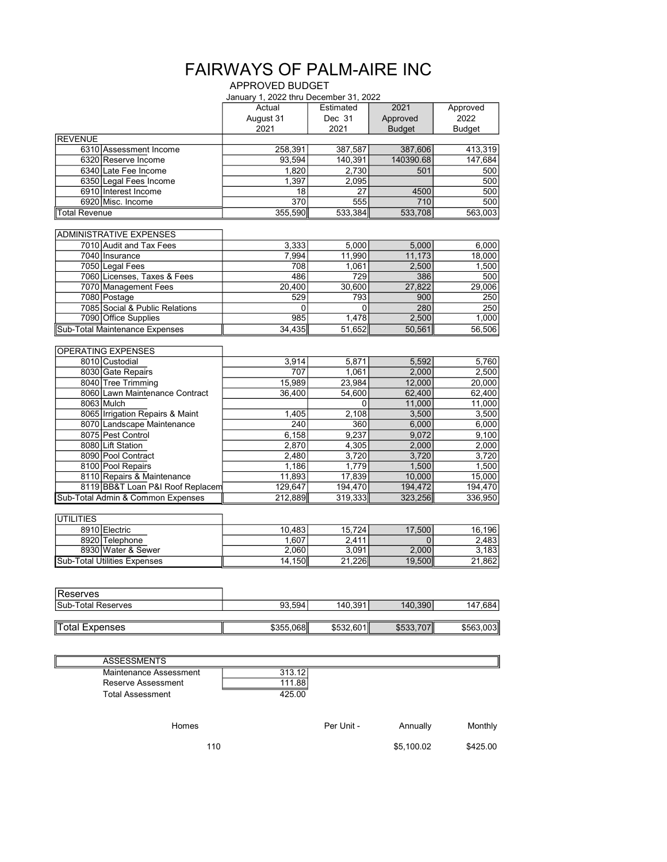## FAIRWAYS OF PALM-AIRE INC

## APPROVED BUDGET

|                                                        | January 1, 2022 thru December 31, 2022 |                 |               |               |
|--------------------------------------------------------|----------------------------------------|-----------------|---------------|---------------|
|                                                        | Actual                                 | Estimated       | 2021          | Approved      |
|                                                        | August 31                              | Dec 31          | Approved      | 2022          |
|                                                        | 2021                                   | 2021            | <b>Budget</b> | <b>Budget</b> |
| <b>REVENUE</b>                                         |                                        |                 |               |               |
| 6310 Assessment Income                                 | 258,391                                | 387,587         | 387,606       | 413,319       |
| 6320 Reserve Income                                    | 93,594                                 | 140,391         | 140390.68     | 147,684       |
| 6340 Late Fee Income                                   | 1,820                                  | 2,730           | 501           | 500           |
| 6350 Legal Fees Income                                 | 1,397                                  | 2,095           |               | 500           |
| 6910 Interest Income                                   | 18                                     | 27              | 4500          | 500           |
| 6920 Misc. Income                                      | 370                                    | 555             | 710           | 500           |
| Total Revenue                                          | 355,590                                | 533,384         | 533,708       | 563,003       |
|                                                        |                                        |                 |               |               |
| <b>ADMINISTRATIVE EXPENSES</b>                         |                                        |                 |               |               |
| 7010 Audit and Tax Fees                                | 3,333                                  | 5,000           | 5,000         | 6,000         |
| 7040 Insurance                                         | 7,994                                  | 11,990          | 11,173        | 18,000        |
| 7050 Legal Fees                                        | 708                                    | 1,061           | 2,500         | 1,500         |
| 7060 Licenses, Taxes & Fees                            | 486                                    | 729             | 386           | 500           |
| 7070 Management Fees                                   | 20,400                                 | 30,600          | 27,822        | 29,006        |
| 7080 Postage                                           | 529                                    | 793             | 900           | 250           |
| 7085 Social & Public Relations                         | 0<br>985                               | 0               | 280           | 250<br>1,000  |
| 7090 Office Supplies<br>Sub-Total Maintenance Expenses |                                        | 1,478<br>51,652 | 2,500         |               |
|                                                        | 34,435                                 |                 | 50,561        | 56,506        |
| <b>OPERATING EXPENSES</b>                              |                                        |                 |               |               |
| 8010 Custodial                                         | 3,914                                  | 5,871           | 5,592         | 5,760         |
| 8030 Gate Repairs                                      | 707                                    | 1,061           | 2,000         | 2,500         |
| 8040 Tree Trimming                                     | 15,989                                 | 23,984          | 12,000        | 20,000        |
| 8060 Lawn Maintenance Contract                         | 36,400                                 | 54,600          | 62,400        | 62,400        |
| 8063 Mulch                                             |                                        | 0               | 11,000        | 11,000        |
| 8065 Irrigation Repairs & Maint                        | 1,405                                  | 2,108           | 3,500         | 3,500         |
| 8070 Landscape Maintenance                             | 240                                    | 360             | 6,000         | 6,000         |
| 8075 Pest Control                                      | 6,158                                  | 9,237           | 9,072         | 9,100         |
| 8080 Lift Station                                      | 2,870                                  | 4,305           | 2,000         | 2,000         |
| 8090 Pool Contract                                     | 2,480                                  | 3,720           | 3,720         | 3,720         |
| 8100 Pool Repairs                                      | 1,186                                  | 1,779           | 1,500         | 1,500         |
| 8110 Repairs & Maintenance                             | 11,893                                 | 17,839          | 10,000        | 15,000        |
| 8119 BB&T Loan P&I Roof Replacem                       | 129,647                                | 194,470         | 194,472       | 194,470       |
| Sub-Total Admin & Common Expenses                      | 212,889                                | 319,333         | 323,256       | 336,950       |
|                                                        |                                        |                 |               |               |
| UTILITIES                                              |                                        |                 |               |               |
| 8910 Electric                                          | 10,483                                 | 15,724          | 17,500        | 16,196        |
| 8920 Telephone                                         | 1,607                                  | 2,411           | $\mathbf{0}$  | 2,483         |
| 8930 Water & Sewer                                     | 2,060                                  | 3,091           | 2,000         | 3,183         |
| <b>Sub-Total Utilities Expenses</b>                    | 14,150                                 | 21,226          | 19,500        | 21,862        |
|                                                        |                                        |                 |               |               |
| Reserves                                               |                                        |                 |               |               |
| Sub-Total Reserves                                     | 93,594                                 | 140,391         | 140,390       | 147,684       |
|                                                        |                                        |                 |               |               |
| <b>Total Expenses</b>                                  | \$355,068                              | \$532,601       | \$533,707     | \$563,003     |
|                                                        |                                        |                 |               |               |
|                                                        |                                        |                 |               |               |
| <b>ASSESSMENTS</b>                                     |                                        |                 |               |               |
| Maintenance Assessment                                 | 313.12                                 |                 |               |               |
| Reserve Assessment                                     | 111.88                                 |                 |               |               |

Total Assessment 425.00

Homes **Per Unit -** Annually Monthly

110 \$5,100.02 \$425.00